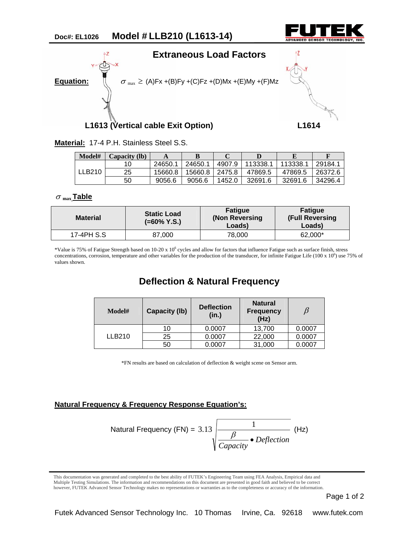



**Material:** 17-4 P.H. Stainless Steel S.S.

| Model# | Capacity (lb) |         | B       | ◡      |          |         |         |
|--------|---------------|---------|---------|--------|----------|---------|---------|
| LLB210 |               | 24650.1 | 24650.1 | 4907.9 | 113338.1 | 113338. | 29184.1 |
|        | 25            | 15660.8 | 15660.8 | 2475.8 | 47869.5  | 47869.5 | 26372.6 |
|        | 50            | 9056.6  | 9056.6  | 1452.0 | 32691.6  | 32691.6 | 34296.4 |

## <sup>σ</sup> **max Table**

| <b>Material</b> | <b>Static Load</b><br>$(=60\%$ Y.S.) | <b>Fatique</b><br>(Non Reversing<br>Loads) | <b>Fatigue</b><br><b>(Full Reversing</b><br>Loads) |  |
|-----------------|--------------------------------------|--------------------------------------------|----------------------------------------------------|--|
| 17-4PH S.S      | 87,000                               | 78.000                                     | 62.000*                                            |  |

\*Value is 75% of Fatigue Strength based on 10-20 x 10<sup>6</sup> cycles and allow for factors that influence Fatigue such as surface finish, stress concentrations, corrosion, temperature and other variables for the production of the transducer, for infinite Fatigue Life (100 x  $10^6$ ) use 75% of values shown.

## **Deflection & Natural Frequency**

| Model#        | <b>Capacity (Ib)</b> | <b>Deflection</b><br>(in.) | <b>Natural</b><br><b>Frequency</b><br>(Hz) |        |
|---------------|----------------------|----------------------------|--------------------------------------------|--------|
|               | 10                   | 0.0007                     | 13,700                                     | 0.0007 |
| <b>LLB210</b> | 25                   | 0.0007                     | 22,000                                     | 0.0007 |
|               | 50                   | 0.0007                     | 31,000                                     | 0.0007 |

\*FN results are based on calculation of deflection & weight scene on Sensor arm.

## **Natural Frequency & Frequency Response Equation's:**

Natural Frequency (FN) = 3.13 
$$
\frac{1}{\sqrt{\frac{\beta}{Capacity}} \cdot Deflection}
$$
 (Hz)

 however, FUTEK Advanced Sensor Technology makes no representations or warranties as to the completeness or accuracy of the information. This documentation was generated and completed to the best ability of FUTEK's Engineering Team using FEA Analysis, Empirical data and Multiple Testing Simulations. The information and recommendations on this document are presented in good faith and believed to be correct

Page 1 of 2